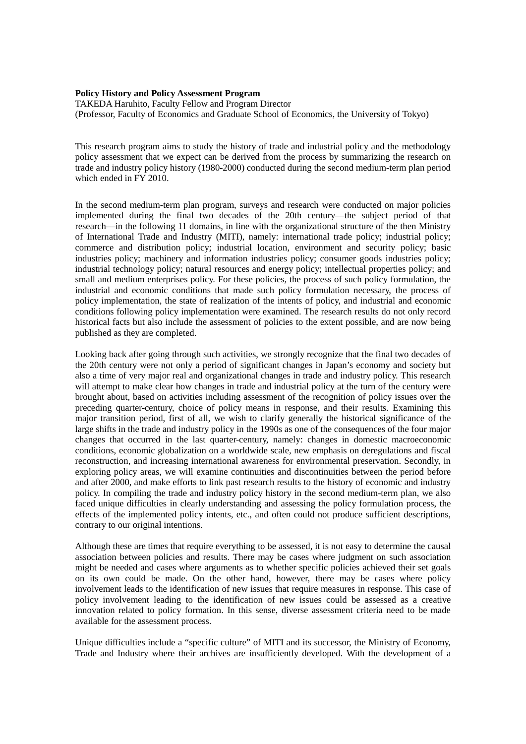## **Policy History and Policy Assessment Program**

TAKEDA Haruhito, Faculty Fellow and Program Director (Professor, Faculty of Economics and Graduate School of Economics, the University of Tokyo)

This research program aims to study the history of trade and industrial policy and the methodology policy assessment that we expect can be derived from the process by summarizing the research on trade and industry policy history (1980-2000) conducted during the second medium-term plan period which ended in FY 2010.

In the second medium-term plan program, surveys and research were conducted on major policies implemented during the final two decades of the 20th century—the subject period of that research—in the following 11 domains, in line with the organizational structure of the then Ministry of International Trade and Industry (MITI), namely: international trade policy; industrial policy; commerce and distribution policy; industrial location, environment and security policy; basic industries policy; machinery and information industries policy; consumer goods industries policy; industrial technology policy; natural resources and energy policy; intellectual properties policy; and small and medium enterprises policy. For these policies, the process of such policy formulation, the industrial and economic conditions that made such policy formulation necessary, the process of policy implementation, the state of realization of the intents of policy, and industrial and economic conditions following policy implementation were examined. The research results do not only record historical facts but also include the assessment of policies to the extent possible, and are now being published as they are completed.

Looking back after going through such activities, we strongly recognize that the final two decades of the 20th century were not only a period of significant changes in Japan's economy and society but also a time of very major real and organizational changes in trade and industry policy. This research will attempt to make clear how changes in trade and industrial policy at the turn of the century were brought about, based on activities including assessment of the recognition of policy issues over the preceding quarter-century, choice of policy means in response, and their results. Examining this major transition period, first of all, we wish to clarify generally the historical significance of the large shifts in the trade and industry policy in the 1990s as one of the consequences of the four major changes that occurred in the last quarter-century, namely: changes in domestic macroeconomic conditions, economic globalization on a worldwide scale, new emphasis on deregulations and fiscal reconstruction, and increasing international awareness for environmental preservation. Secondly, in exploring policy areas, we will examine continuities and discontinuities between the period before and after 2000, and make efforts to link past research results to the history of economic and industry policy. In compiling the trade and industry policy history in the second medium-term plan, we also faced unique difficulties in clearly understanding and assessing the policy formulation process, the effects of the implemented policy intents, etc., and often could not produce sufficient descriptions, contrary to our original intentions.

Although these are times that require everything to be assessed, it is not easy to determine the causal association between policies and results. There may be cases where judgment on such association might be needed and cases where arguments as to whether specific policies achieved their set goals on its own could be made. On the other hand, however, there may be cases where policy involvement leads to the identification of new issues that require measures in response. This case of policy involvement leading to the identification of new issues could be assessed as a creative innovation related to policy formation. In this sense, diverse assessment criteria need to be made available for the assessment process.

Unique difficulties include a "specific culture" of MITI and its successor, the Ministry of Economy, Trade and Industry where their archives are insufficiently developed. With the development of a